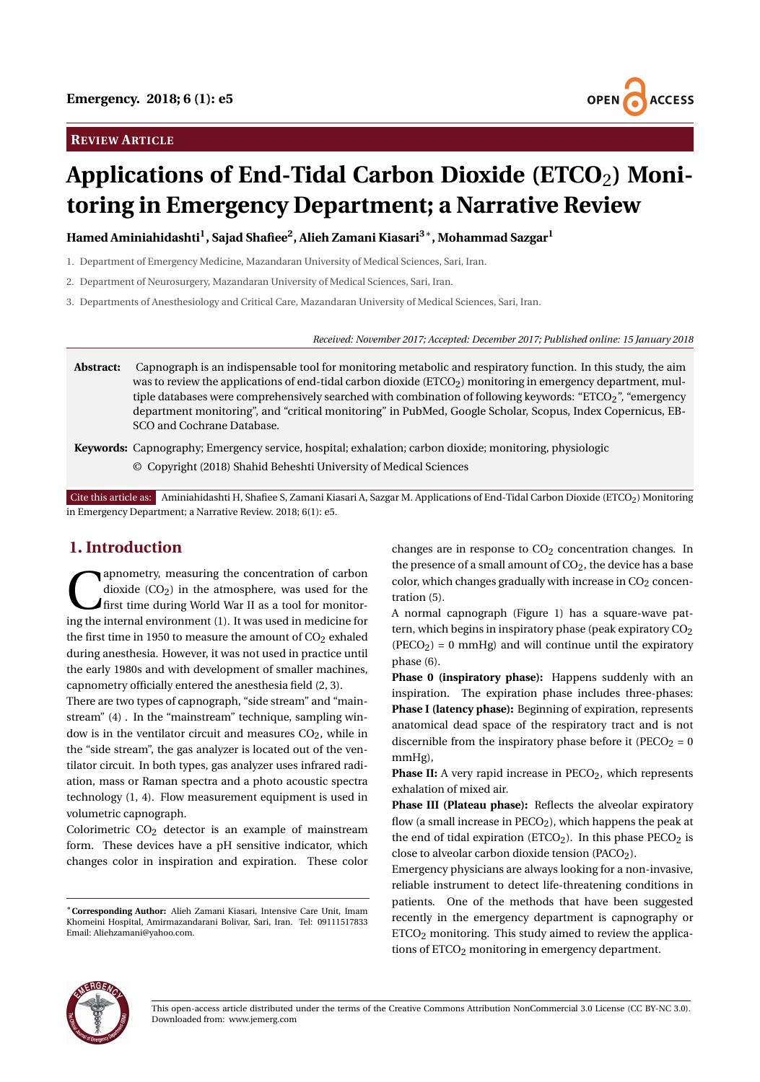# **REVIEW ARTICLE**



# **Applications of End-Tidal Carbon Dioxide (ETCO**2**) Monitoring in Emergency Department; a Narrative Review**

**Hamed Aminiahidashti<sup>1</sup> , Sajad Shafiee<sup>2</sup> , Alieh Zamani Kiasari3**<sup>∗</sup> **, Mohammad Sazgar<sup>1</sup>**

1. Department of Emergency Medicine, Mazandaran University of Medical Sciences, Sari, Iran.

2. Department of Neurosurgery, Mazandaran University of Medical Sciences, Sari, Iran.

3. Departments of Anesthesiology and Critical Care, Mazandaran University of Medical Sciences, Sari, Iran.

*Received: November 2017; Accepted: December 2017; Published online: 15 January 2018*

- **Abstract:** Capnograph is an indispensable tool for monitoring metabolic and respiratory function. In this study, the aim was to review the applications of end-tidal carbon dioxide (ETCO2) monitoring in emergency department, multiple databases were comprehensively searched with combination of following keywords: "ETCO2", "emergency department monitoring", and "critical monitoring" in PubMed, Google Scholar, Scopus, Index Copernicus, EB-SCO and Cochrane Database.
- **Keywords:** Capnography; Emergency service, hospital; exhalation; carbon dioxide; monitoring, physiologic © Copyright (2018) Shahid Beheshti University of Medical Sciences

Cite this article as: Aminiahidashti H, Shafiee S, Zamani Kiasari A, Sazgar M. Applications of End-Tidal Carbon Dioxide (ETCO2) Monitoring in Emergency Department; a Narrative Review. 2018; 6(1): e5.

## **1. Introduction**

**C** dioxide (CO<sub>2</sub>) in the atmosphere, was used for the first time during World War II as a tool for monitoring the internal environment (1). It was used in medicine for apnometry, measuring the concentration of carbon dioxide  $(CO<sub>2</sub>)$  in the atmosphere, was used for the first time during World War II as a tool for monitorthe first time in 1950 to measure the amount of  $CO<sub>2</sub>$  exhaled during anesthesia. However, it was not used in practice until the early 1980s and with development of smaller machines, capnometry officially entered the anesthesia field (2, 3).

There are two types of capnograph, "side stream" and "mainstream" (4) . In the "mainstream" technique, sampling window is in the ventilator circuit and measures  $CO<sub>2</sub>$ , while in the "side stream", the gas analyzer is located out of the ventilator circuit. In both types, gas analyzer uses infrared radiation, mass or Raman spectra and a photo acoustic spectra technology (1, 4). Flow measurement equipment is used in volumetric capnograph.

Colorimetric  $CO<sub>2</sub>$  detector is an example of mainstream form. These devices have a pH sensitive indicator, which changes color in inspiration and expiration. These color

changes are in response to  $CO<sub>2</sub>$  concentration changes. In the presence of a small amount of  $CO<sub>2</sub>$ , the device has a base color, which changes gradually with increase in  $CO<sub>2</sub>$  concentration (5).

A normal capnograph (Figure 1) has a square-wave pattern, which begins in inspiratory phase (peak expiratory CO<sub>2</sub>  $(PECO<sub>2</sub>) = 0$  mmHg) and will continue until the expiratory phase (6).

**Phase 0 (inspiratory phase):** Happens suddenly with an inspiration. The expiration phase includes three-phases: **Phase I (latency phase):** Beginning of expiration, represents anatomical dead space of the respiratory tract and is not discernible from the inspiratory phase before it ( $\text{PECO}_2 = 0$ mmHg),

Phase II: A very rapid increase in PECO<sub>2</sub>, which represents exhalation of mixed air.

**Phase III (Plateau phase):** Reflects the alveolar expiratory flow (a small increase in  $\text{PECO}_2$ ), which happens the peak at the end of tidal expiration (ETCO<sub>2</sub>). In this phase  $PECO<sub>2</sub>$  is close to alveolar carbon dioxide tension (PACO<sub>2</sub>).

Emergency physicians are always looking for a non-invasive, reliable instrument to detect life-threatening conditions in patients. One of the methods that have been suggested recently in the emergency department is capnography or  $ETCO<sub>2</sub>$  monitoring. This study aimed to review the applications of ETCO<sub>2</sub> monitoring in emergency department.



<sup>∗</sup>**Corresponding Author:** Alieh Zamani Kiasari, Intensive Care Unit, Imam Khomeini Hospital, Amirmazandarani Bolivar, Sari, Iran. Tel: 09111517833 Email: Aliehzamani@yahoo.com.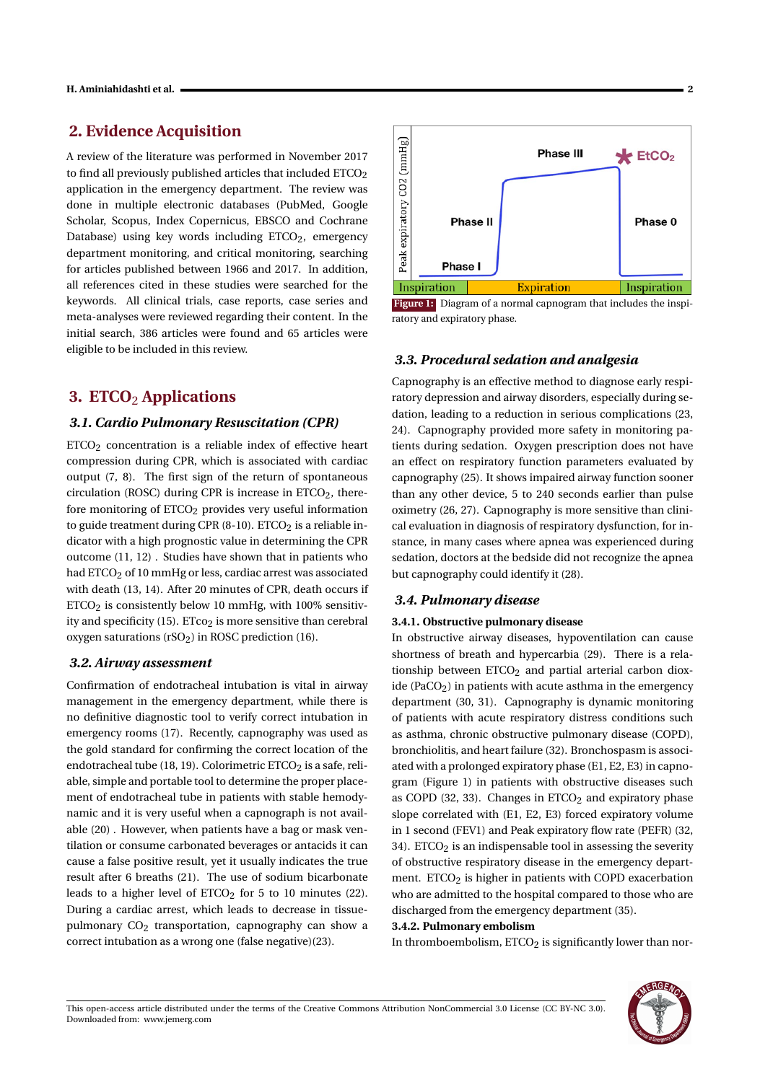# **2. Evidence Acquisition**

A review of the literature was performed in November 2017 to find all previously published articles that included ETCO<sub>2</sub> application in the emergency department. The review was done in multiple electronic databases (PubMed, Google Scholar, Scopus, Index Copernicus, EBSCO and Cochrane Database) using key words including  $ETCO<sub>2</sub>$ , emergency department monitoring, and critical monitoring, searching for articles published between 1966 and 2017. In addition, all references cited in these studies were searched for the keywords. All clinical trials, case reports, case series and meta-analyses were reviewed regarding their content. In the initial search, 386 articles were found and 65 articles were eligible to be included in this review.

# **3. ETCO**<sup>2</sup> **Applications**

## *3.1. Cardio Pulmonary Resuscitation (CPR)*

ETCO2 concentration is a reliable index of effective heart compression during CPR, which is associated with cardiac output (7, 8). The first sign of the return of spontaneous circulation (ROSC) during CPR is increase in  $ETCO<sub>2</sub>$ , therefore monitoring of  $ETCO<sub>2</sub>$  provides very useful information to guide treatment during CPR  $(8-10)$ . ETCO<sub>2</sub> is a reliable indicator with a high prognostic value in determining the CPR outcome (11, 12) . Studies have shown that in patients who had ETCO<sub>2</sub> of 10 mmHg or less, cardiac arrest was associated with death (13, 14). After 20 minutes of CPR, death occurs if  $ETCO<sub>2</sub>$  is consistently below 10 mmHg, with 100% sensitivity and specificity (15).  $ETco<sub>2</sub>$  is more sensitive than cerebral oxygen saturations (rSO<sub>2</sub>) in ROSC prediction (16).

## *3.2. Airway assessment*

Confirmation of endotracheal intubation is vital in airway management in the emergency department, while there is no definitive diagnostic tool to verify correct intubation in emergency rooms (17). Recently, capnography was used as the gold standard for confirming the correct location of the endotracheal tube (18, 19). Colorimetric  $ETCO<sub>2</sub>$  is a safe, reliable, simple and portable tool to determine the proper placement of endotracheal tube in patients with stable hemodynamic and it is very useful when a capnograph is not available (20) . However, when patients have a bag or mask ventilation or consume carbonated beverages or antacids it can cause a false positive result, yet it usually indicates the true result after 6 breaths (21). The use of sodium bicarbonate leads to a higher level of  $ETCO<sub>2</sub>$  for 5 to 10 minutes (22). During a cardiac arrest, which leads to decrease in tissuepulmonary  $CO<sub>2</sub>$  transportation, capnography can show a correct intubation as a wrong one (false negative)(23).



Figure 1: Diagram of a normal capnogram that includes the inspiratory and expiratory phase.

#### *3.3. Procedural sedation and analgesia*

Capnography is an effective method to diagnose early respiratory depression and airway disorders, especially during sedation, leading to a reduction in serious complications (23, 24). Capnography provided more safety in monitoring patients during sedation. Oxygen prescription does not have an effect on respiratory function parameters evaluated by capnography (25). It shows impaired airway function sooner than any other device, 5 to 240 seconds earlier than pulse oximetry (26, 27). Capnography is more sensitive than clinical evaluation in diagnosis of respiratory dysfunction, for instance, in many cases where apnea was experienced during sedation, doctors at the bedside did not recognize the apnea but capnography could identify it (28).

#### *3.4. Pulmonary disease*

#### **3.4.1. Obstructive pulmonary disease**

In obstructive airway diseases, hypoventilation can cause shortness of breath and hypercarbia (29). There is a relationship between  $ETCO<sub>2</sub>$  and partial arterial carbon dioxide (PaCO<sub>2</sub>) in patients with acute asthma in the emergency department (30, 31). Capnography is dynamic monitoring of patients with acute respiratory distress conditions such as asthma, chronic obstructive pulmonary disease (COPD), bronchiolitis, and heart failure (32). Bronchospasm is associated with a prolonged expiratory phase (E1, E2, E3) in capnogram (Figure 1) in patients with obstructive diseases such as COPD (32, 33). Changes in  $ETCO<sub>2</sub>$  and expiratory phase slope correlated with (E1, E2, E3) forced expiratory volume in 1 second (FEV1) and Peak expiratory flow rate (PEFR) (32, 34). ETCO<sub>2</sub> is an indispensable tool in assessing the severity of obstructive respiratory disease in the emergency department. ETCO<sub>2</sub> is higher in patients with COPD exacerbation who are admitted to the hospital compared to those who are discharged from the emergency department (35).

### **3.4.2. Pulmonary embolism**

In thromboembolism,  $ETCO<sub>2</sub>$  is significantly lower than nor-

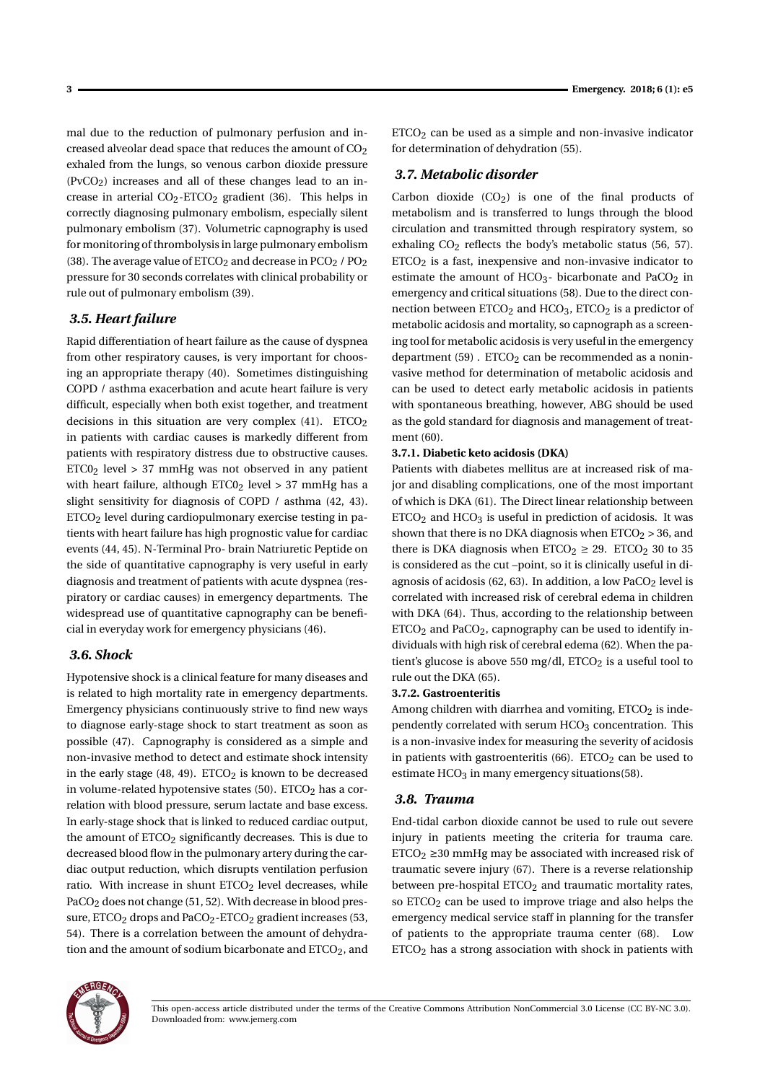mal due to the reduction of pulmonary perfusion and increased alveolar dead space that reduces the amount of CO<sub>2</sub> exhaled from the lungs, so venous carbon dioxide pressure  $(PvCO<sub>2</sub>)$  increases and all of these changes lead to an increase in arterial  $CO_2$ -ETCO<sub>2</sub> gradient (36). This helps in correctly diagnosing pulmonary embolism, especially silent pulmonary embolism (37). Volumetric capnography is used for monitoring of thrombolysis in large pulmonary embolism (38). The average value of  $ETCO<sub>2</sub>$  and decrease in PCO<sub>2</sub> / PO<sub>2</sub> pressure for 30 seconds correlates with clinical probability or rule out of pulmonary embolism (39).

## *3.5. Heart failure*

Rapid differentiation of heart failure as the cause of dyspnea from other respiratory causes, is very important for choosing an appropriate therapy (40). Sometimes distinguishing COPD / asthma exacerbation and acute heart failure is very difficult, especially when both exist together, and treatment decisions in this situation are very complex  $(41)$ . ETCO<sub>2</sub> in patients with cardiac causes is markedly different from patients with respiratory distress due to obstructive causes.  $ETC0<sub>2</sub>$  level > 37 mmHg was not observed in any patient with heart failure, although  $ETCO<sub>2</sub>$  level > 37 mmHg has a slight sensitivity for diagnosis of COPD / asthma (42, 43). ETCO2 level during cardiopulmonary exercise testing in patients with heart failure has high prognostic value for cardiac events (44, 45). N-Terminal Pro- brain Natriuretic Peptide on the side of quantitative capnography is very useful in early diagnosis and treatment of patients with acute dyspnea (respiratory or cardiac causes) in emergency departments. The widespread use of quantitative capnography can be beneficial in everyday work for emergency physicians (46).

#### *3.6. Shock*

Hypotensive shock is a clinical feature for many diseases and is related to high mortality rate in emergency departments. Emergency physicians continuously strive to find new ways to diagnose early-stage shock to start treatment as soon as possible (47). Capnography is considered as a simple and non-invasive method to detect and estimate shock intensity in the early stage  $(48, 49)$ . ETCO<sub>2</sub> is known to be decreased in volume-related hypotensive states (50).  $ETCO<sub>2</sub>$  has a correlation with blood pressure, serum lactate and base excess. In early-stage shock that is linked to reduced cardiac output, the amount of  $ETCO<sub>2</sub>$  significantly decreases. This is due to decreased blood flow in the pulmonary artery during the cardiac output reduction, which disrupts ventilation perfusion ratio. With increase in shunt  $ETCO<sub>2</sub>$  level decreases, while PaCO<sub>2</sub> does not change (51, 52). With decrease in blood pressure, ETCO<sub>2</sub> drops and PaCO<sub>2</sub>-ETCO<sub>2</sub> gradient increases (53, 54). There is a correlation between the amount of dehydration and the amount of sodium bicarbonate and ETCO<sub>2</sub>, and

 $ETCO<sub>2</sub>$  can be used as a simple and non-invasive indicator for determination of dehydration (55).

#### *3.7. Metabolic disorder*

Carbon dioxide  $(CO<sub>2</sub>)$  is one of the final products of metabolism and is transferred to lungs through the blood circulation and transmitted through respiratory system, so exhaling  $CO<sub>2</sub>$  reflects the body's metabolic status (56, 57).  $ETCO<sub>2</sub>$  is a fast, inexpensive and non-invasive indicator to estimate the amount of HCO<sub>3</sub>- bicarbonate and PaCO<sub>2</sub> in emergency and critical situations (58). Due to the direct connection between  $ETCO<sub>2</sub>$  and  $HCO<sub>3</sub>$ ,  $ETCO<sub>2</sub>$  is a predictor of metabolic acidosis and mortality, so capnograph as a screening tool for metabolic acidosis is very useful in the emergency department  $(59)$ . ETCO<sub>2</sub> can be recommended as a noninvasive method for determination of metabolic acidosis and can be used to detect early metabolic acidosis in patients with spontaneous breathing, however, ABG should be used as the gold standard for diagnosis and management of treatment (60).

#### **3.7.1. Diabetic keto acidosis (DKA)**

Patients with diabetes mellitus are at increased risk of major and disabling complications, one of the most important of which is DKA (61). The Direct linear relationship between  $ETCO<sub>2</sub>$  and  $HCO<sub>3</sub>$  is useful in prediction of acidosis. It was shown that there is no DKA diagnosis when  $ETCO<sub>2</sub> > 36$ , and there is DKA diagnosis when  $ETCO<sub>2</sub> \ge 29$ .  $ETCO<sub>2</sub>$  30 to 35 is considered as the cut –point, so it is clinically useful in diagnosis of acidosis  $(62, 63)$ . In addition, a low PaCO<sub>2</sub> level is correlated with increased risk of cerebral edema in children with DKA (64). Thus, according to the relationship between  $ETCO<sub>2</sub>$  and PaCO<sub>2</sub>, capnography can be used to identify individuals with high risk of cerebral edema (62). When the patient's glucose is above 550 mg/dl,  $ETCO<sub>2</sub>$  is a useful tool to rule out the DKA (65).

#### **3.7.2. Gastroenteritis**

Among children with diarrhea and vomiting,  $ETCO<sub>2</sub>$  is independently correlated with serum HCO<sub>3</sub> concentration. This is a non-invasive index for measuring the severity of acidosis in patients with gastroenteritis  $(66)$ . ETCO<sub>2</sub> can be used to estimate  $HCO<sub>3</sub>$  in many emergency situations(58).

#### *3.8. Trauma*

End-tidal carbon dioxide cannot be used to rule out severe injury in patients meeting the criteria for trauma care.  $ETCO<sub>2</sub> \ge 30$  mmHg may be associated with increased risk of traumatic severe injury (67). There is a reverse relationship between pre-hospital  $ETCO<sub>2</sub>$  and traumatic mortality rates, so ETCO<sub>2</sub> can be used to improve triage and also helps the emergency medical service staff in planning for the transfer of patients to the appropriate trauma center (68). Low ETCO2 has a strong association with shock in patients with

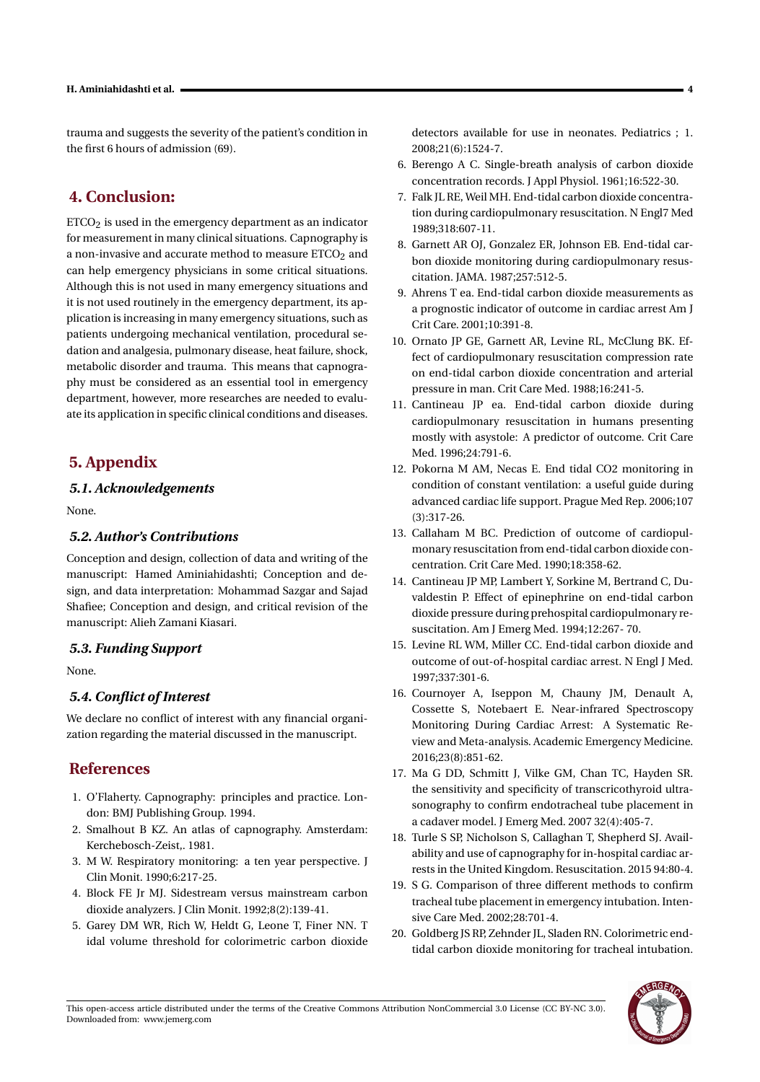trauma and suggests the severity of the patient's condition in the first 6 hours of admission (69).

# **4. Conclusion:**

 $ETCO<sub>2</sub>$  is used in the emergency department as an indicator for measurement in many clinical situations. Capnography is a non-invasive and accurate method to measure  $ETCO<sub>2</sub>$  and can help emergency physicians in some critical situations. Although this is not used in many emergency situations and it is not used routinely in the emergency department, its application is increasing in many emergency situations, such as patients undergoing mechanical ventilation, procedural sedation and analgesia, pulmonary disease, heat failure, shock, metabolic disorder and trauma. This means that capnography must be considered as an essential tool in emergency department, however, more researches are needed to evaluate its application in specific clinical conditions and diseases.

# **5. Appendix**

## *5.1. Acknowledgements*

None.

## *5.2. Author's Contributions*

Conception and design, collection of data and writing of the manuscript: Hamed Aminiahidashti; Conception and design, and data interpretation: Mohammad Sazgar and Sajad Shafiee; Conception and design, and critical revision of the manuscript: Alieh Zamani Kiasari.

## *5.3. Funding Support*

None.

# *5.4. Conflict of Interest*

We declare no conflict of interest with any financial organization regarding the material discussed in the manuscript.

# **References**

- 1. O'Flaherty. Capnography: principles and practice. London: BMJ Publishing Group. 1994.
- 2. Smalhout B KZ. An atlas of capnography. Amsterdam: Kerchebosch-Zeist,. 1981.
- 3. M W. Respiratory monitoring: a ten year perspective. J Clin Monit. 1990;6:217-25.
- 4. Block FE Jr MJ. Sidestream versus mainstream carbon dioxide analyzers. J Clin Monit. 1992;8(2):139-41.
- 5. Garey DM WR, Rich W, Heldt G, Leone T, Finer NN. T idal volume threshold for colorimetric carbon dioxide

detectors available for use in neonates. Pediatrics ; 1. 2008;21(6):1524-7.

- 6. Berengo A C. Single-breath analysis of carbon dioxide concentration records. J Appl Physiol. 1961;16:522-30.
- 7. Falk JL RE, Weil MH. End-tidal carbon dioxide concentration during cardiopulmonary resuscitation. N Engl7 Med 1989;318:607-11.
- 8. Garnett AR OJ, Gonzalez ER, Johnson EB. End-tidal carbon dioxide monitoring during cardiopulmonary resuscitation. JAMA. 1987;257:512-5.
- 9. Ahrens T ea. End-tidal carbon dioxide measurements as a prognostic indicator of outcome in cardiac arrest Am J Crit Care. 2001;10:391-8.
- 10. Ornato JP GE, Garnett AR, Levine RL, McClung BK. Effect of cardiopulmonary resuscitation compression rate on end-tidal carbon dioxide concentration and arterial pressure in man. Crit Care Med. 1988;16:241-5.
- 11. Cantineau JP ea. End-tidal carbon dioxide during cardiopulmonary resuscitation in humans presenting mostly with asystole: A predictor of outcome. Crit Care Med. 1996;24:791-6.
- 12. Pokorna M AM, Necas E. End tidal CO2 monitoring in condition of constant ventilation: a useful guide during advanced cardiac life support. Prague Med Rep. 2006;107 (3):317-26.
- 13. Callaham M BC. Prediction of outcome of cardiopulmonary resuscitation from end-tidal carbon dioxide concentration. Crit Care Med. 1990;18:358-62.
- 14. Cantineau JP MP, Lambert Y, Sorkine M, Bertrand C, Duvaldestin P. Effect of epinephrine on end-tidal carbon dioxide pressure during prehospital cardiopulmonary resuscitation. Am J Emerg Med. 1994;12:267- 70.
- 15. Levine RL WM, Miller CC. End-tidal carbon dioxide and outcome of out-of-hospital cardiac arrest. N Engl J Med. 1997;337:301-6.
- 16. Cournoyer A, Iseppon M, Chauny JM, Denault A, Cossette S, Notebaert E. Near-infrared Spectroscopy Monitoring During Cardiac Arrest: A Systematic Review and Meta-analysis. Academic Emergency Medicine. 2016;23(8):851-62.
- 17. Ma G DD, Schmitt J, Vilke GM, Chan TC, Hayden SR. the sensitivity and specificity of transcricothyroid ultrasonography to confirm endotracheal tube placement in a cadaver model. J Emerg Med. 2007 32(4):405-7.
- 18. Turle S SP, Nicholson S, Callaghan T, Shepherd SJ. Availability and use of capnography for in-hospital cardiac arrests in the United Kingdom. Resuscitation. 2015 94:80-4.
- 19. S G. Comparison of three different methods to confirm tracheal tube placement in emergency intubation. Intensive Care Med. 2002;28:701-4.
- 20. Goldberg JS RP, Zehnder JL, Sladen RN. Colorimetric endtidal carbon dioxide monitoring for tracheal intubation.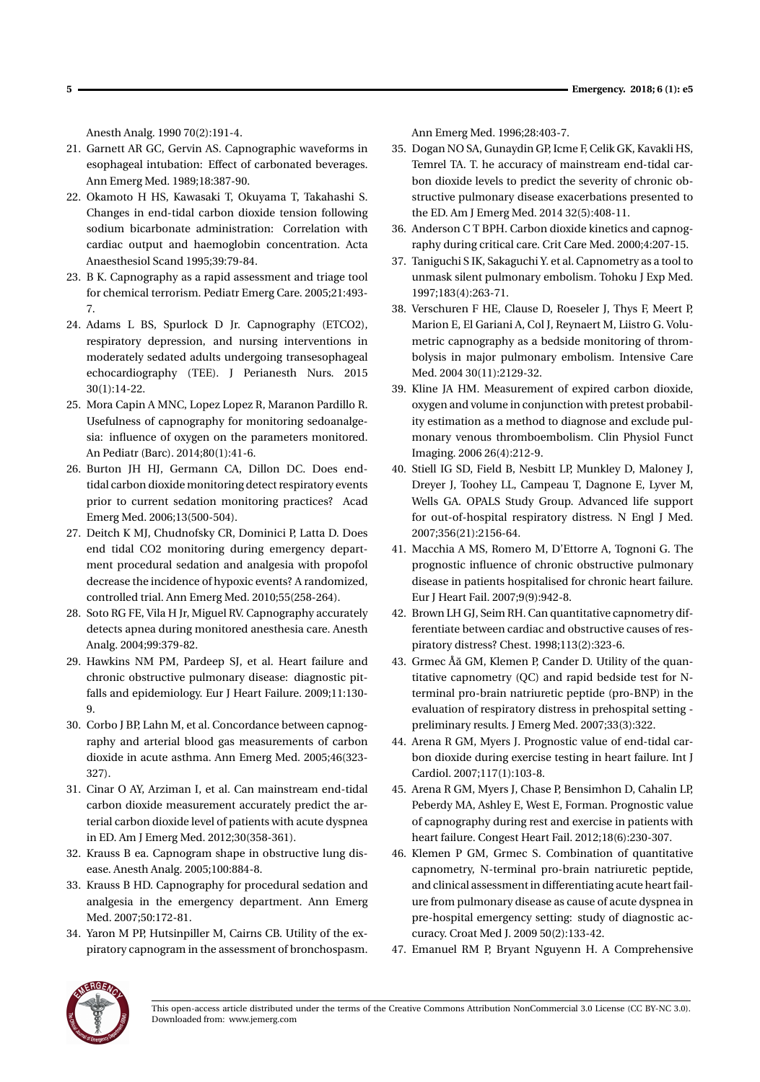Anesth Analg. 1990 70(2):191-4.

- 21. Garnett AR GC, Gervin AS. Capnographic waveforms in esophageal intubation: Effect of carbonated beverages. Ann Emerg Med. 1989;18:387-90.
- 22. Okamoto H HS, Kawasaki T, Okuyama T, Takahashi S. Changes in end-tidal carbon dioxide tension following sodium bicarbonate administration: Correlation with cardiac output and haemoglobin concentration. Acta Anaesthesiol Scand 1995;39:79-84.
- 23. B K. Capnography as a rapid assessment and triage tool for chemical terrorism. Pediatr Emerg Care. 2005;21:493- 7.
- 24. Adams L BS, Spurlock D Jr. Capnography (ETCO2), respiratory depression, and nursing interventions in moderately sedated adults undergoing transesophageal echocardiography (TEE). J Perianesth Nurs. 2015 30(1):14-22.
- 25. Mora Capin A MNC, Lopez Lopez R, Maranon Pardillo R. Usefulness of capnography for monitoring sedoanalgesia: influence of oxygen on the parameters monitored. An Pediatr (Barc). 2014;80(1):41-6.
- 26. Burton JH HJ, Germann CA, Dillon DC. Does endtidal carbon dioxide monitoring detect respiratory events prior to current sedation monitoring practices? Acad Emerg Med. 2006;13(500-504).
- 27. Deitch K MJ, Chudnofsky CR, Dominici P, Latta D. Does end tidal CO2 monitoring during emergency department procedural sedation and analgesia with propofol decrease the incidence of hypoxic events? A randomized, controlled trial. Ann Emerg Med. 2010;55(258-264).
- 28. Soto RG FE, Vila H Jr, Miguel RV. Capnography accurately detects apnea during monitored anesthesia care. Anesth Analg. 2004;99:379-82.
- 29. Hawkins NM PM, Pardeep SJ, et al. Heart failure and chronic obstructive pulmonary disease: diagnostic pitfalls and epidemiology. Eur J Heart Failure. 2009;11:130- 9.
- 30. Corbo J BP, Lahn M, et al. Concordance between capnography and arterial blood gas measurements of carbon dioxide in acute asthma. Ann Emerg Med. 2005;46(323- 327).
- 31. Cinar O AY, Arziman I, et al. Can mainstream end-tidal carbon dioxide measurement accurately predict the arterial carbon dioxide level of patients with acute dyspnea in ED. Am J Emerg Med. 2012;30(358-361).
- 32. Krauss B ea. Capnogram shape in obstructive lung disease. Anesth Analg. 2005;100:884-8.
- 33. Krauss B HD. Capnography for procedural sedation and analgesia in the emergency department. Ann Emerg Med. 2007;50:172-81.
- 34. Yaron M PP, Hutsinpiller M, Cairns CB. Utility of the expiratory capnogram in the assessment of bronchospasm.

Ann Emerg Med. 1996;28:403-7.

- 35. Dogan NO SA, Gunaydin GP, Icme F, Celik GK, Kavakli HS, Temrel TA. T. he accuracy of mainstream end-tidal carbon dioxide levels to predict the severity of chronic obstructive pulmonary disease exacerbations presented to the ED. Am J Emerg Med. 2014 32(5):408-11.
- 36. Anderson C T BPH. Carbon dioxide kinetics and capnography during critical care. Crit Care Med. 2000;4:207-15.
- 37. Taniguchi S IK, Sakaguchi Y. et al. Capnometry as a tool to unmask silent pulmonary embolism. Tohoku J Exp Med. 1997;183(4):263-71.
- 38. Verschuren F HE, Clause D, Roeseler J, Thys F, Meert P, Marion E, El Gariani A, Col J, Reynaert M, Liistro G. Volumetric capnography as a bedside monitoring of thrombolysis in major pulmonary embolism. Intensive Care Med. 2004 30(11):2129-32.
- 39. Kline JA HM. Measurement of expired carbon dioxide, oxygen and volume in conjunction with pretest probability estimation as a method to diagnose and exclude pulmonary venous thromboembolism. Clin Physiol Funct Imaging. 2006 26(4):212-9.
- 40. Stiell IG SD, Field B, Nesbitt LP, Munkley D, Maloney J, Dreyer J, Toohey LL, Campeau T, Dagnone E, Lyver M, Wells GA. OPALS Study Group. Advanced life support for out-of-hospital respiratory distress. N Engl J Med. 2007;356(21):2156-64.
- 41. Macchia A MS, Romero M, D'Ettorre A, Tognoni G. The prognostic influence of chronic obstructive pulmonary disease in patients hospitalised for chronic heart failure. Eur J Heart Fail. 2007;9(9):942-8.
- 42. Brown LH GJ, Seim RH. Can quantitative capnometry differentiate between cardiac and obstructive causes of respiratory distress? Chest. 1998;113(2):323-6.
- 43. Grmec Åă GM, Klemen P, Cander D. Utility of the quantitative capnometry (QC) and rapid bedside test for Nterminal pro-brain natriuretic peptide (pro-BNP) in the evaluation of respiratory distress in prehospital setting preliminary results. J Emerg Med. 2007;33(3):322.
- 44. Arena R GM, Myers J. Prognostic value of end-tidal carbon dioxide during exercise testing in heart failure. Int J Cardiol. 2007;117(1):103-8.
- 45. Arena R GM, Myers J, Chase P, Bensimhon D, Cahalin LP, Peberdy MA, Ashley E, West E, Forman. Prognostic value of capnography during rest and exercise in patients with heart failure. Congest Heart Fail. 2012;18(6):230-307.
- 46. Klemen P GM, Grmec S. Combination of quantitative capnometry, N-terminal pro-brain natriuretic peptide, and clinical assessment in differentiating acute heart failure from pulmonary disease as cause of acute dyspnea in pre-hospital emergency setting: study of diagnostic accuracy. Croat Med J. 2009 50(2):133-42.
- 47. Emanuel RM P, Bryant Nguyenn H. A Comprehensive



This open-access article distributed under the terms of the Creative Commons Attribution NonCommercial 3.0 License (CC BY-NC 3.0). Downloaded from: www.jemerg.com